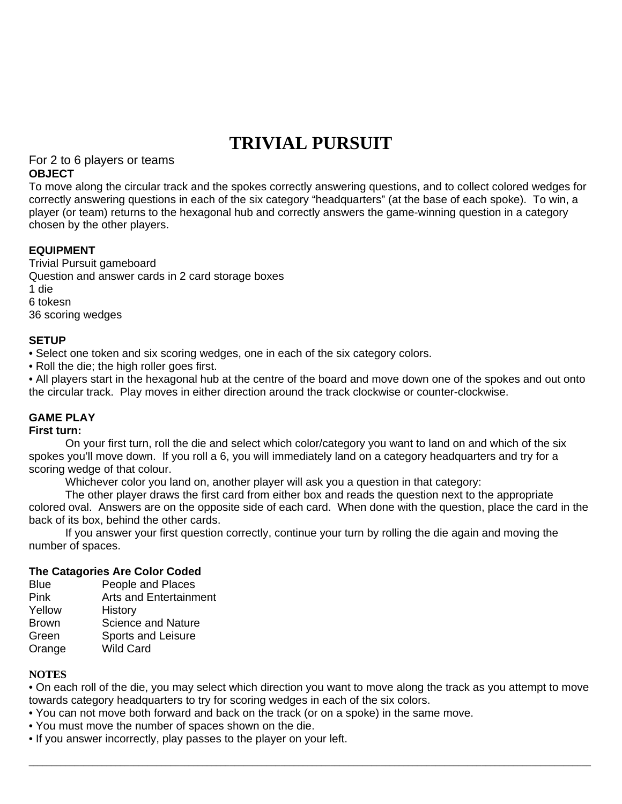# **TRIVIAL PURSUIT**

For 2 to 6 players or teams **OBJECT** 

To move along the circular track and the spokes correctly answering questions, and to collect colored wedges for correctly answering questions in each of the six category "headquarters" (at the base of each spoke). To win, a player (or team) returns to the hexagonal hub and correctly answers the game-winning question in a category chosen by the other players.

## **EQUIPMENT**

Trivial Pursuit gameboard Question and answer cards in 2 card storage boxes 1 die 6 tokesn 36 scoring wedges

## **SETUP**

• Select one token and six scoring wedges, one in each of the six category colors.

• Roll the die; the high roller goes first.

• All players start in the hexagonal hub at the centre of the board and move down one of the spokes and out onto the circular track. Play moves in either direction around the track clockwise or counter-clockwise.

## **GAME PLAY**

#### **First turn:**

On your first turn, roll the die and select which color/category you want to land on and which of the six spokes you'll move down. If you roll a 6, you will immediately land on a category headquarters and try for a scoring wedge of that colour.

Whichever color you land on, another player will ask you a question in that category:

The other player draws the first card from either box and reads the question next to the appropriate colored oval. Answers are on the opposite side of each card. When done with the question, place the card in the back of its box, behind the other cards.

If you answer your first question correctly, continue your turn by rolling the die again and moving the number of spaces.

#### **The Catagories Are Color Coded**

- Blue People and Places
- Pink Arts and Entertainment
- Yellow History
- Brown Science and Nature Green Sports and Leisure
- 
- Orange Wild Card

#### **NOTES**

• On each roll of the die, you may select which direction you want to move along the track as you attempt to move towards category headquarters to try for scoring wedges in each of the six colors.

 $\bot$  , and the set of the set of the set of the set of the set of the set of the set of the set of the set of the set of the set of the set of the set of the set of the set of the set of the set of the set of the set of t

- You can not move both forward and back on the track (or on a spoke) in the same move.
- You must move the number of spaces shown on the die.
- If you answer incorrectly, play passes to the player on your left.